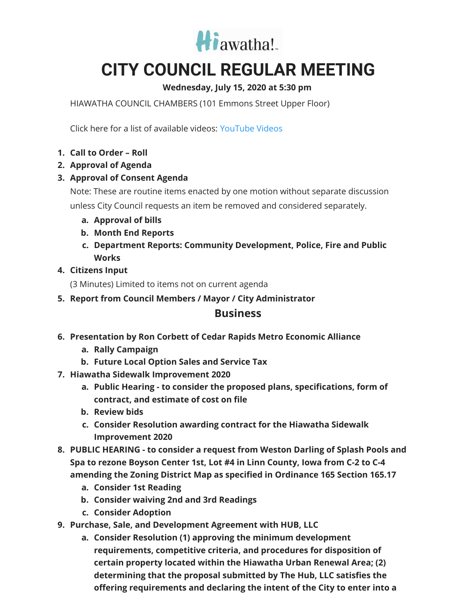

# **CITY COUNCIL REGULAR MEETING**

## **Wednesday, July 15, 2020 at 5:30 pm**

HIAWATHA COUNCIL CHAMBERS (101 Emmons Street Upper Floor)

Click here for a list of available videos: [YouTube](https://www.youtube.com/channel/UC3Vyub-x0FNe8YImqf5XsOQ) Videos

- **1. Call to Order – Roll**
- **2. Approval of Agenda**
- **3. Approval of Consent Agenda**

Note: These are routine items enacted by one motion without separate discussion unless City Council requests an item be removed and considered separately.

- **a. Approval of bills**
- **b. Month End Reports**
- **c. Department Reports: Community Development, Police, Fire and Public Works**

#### **4. Citizens Input**

(3 Minutes) Limited to items not on current agenda

**5. Report from Council Members / Mayor / City Administrator**

## **Business**

- **6. Presentation by Ron Corbett of Cedar Rapids Metro Economic Alliance**
	- **a. Rally Campaign**
	- **b. Future Local Option Sales and Service Tax**
- **7. Hiawatha Sidewalk Improvement 2020**
	- **a. Public Hearing - to consider the proposed plans, specifications, form of contract, and estimate of cost on file**
	- **b. Review bids**
	- **c. Consider Resolution awarding contract for the Hiawatha Sidewalk Improvement 2020**
- **8. PUBLIC HEARING - to consider a request from Weston Darling of Splash Pools and Spa to rezone Boyson Center 1st, Lot #4 in Linn County, Iowa from C-2 to C-4 amending the Zoning District Map as specified in Ordinance 165 Section 165.17**
	- **a. Consider 1st Reading**
	- **b. Consider waiving 2nd and 3rd Readings**
	- **c. Consider Adoption**
- **9. Purchase, Sale, and Development Agreement with HUB, LLC**
	- **a. Consider Resolution (1) approving the minimum development requirements, competitive criteria, and procedures for disposition of certain property located within the Hiawatha Urban Renewal Area; (2) determining that the proposal submitted by The Hub, LLC satisfies the offering requirements and declaring the intent of the City to enter into a**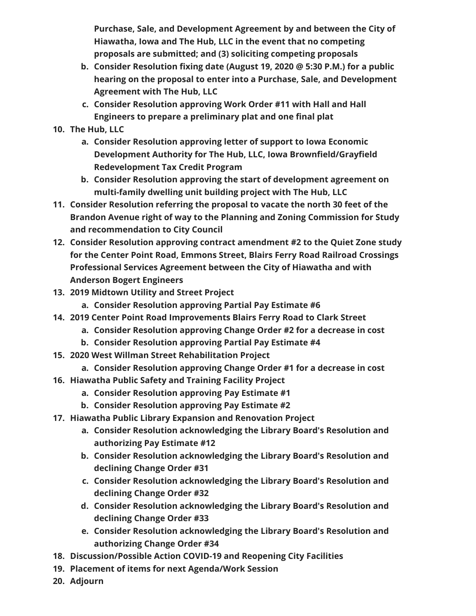**Purchase, Sale, and Development Agreement by and between the City of Hiawatha, Iowa and The Hub, LLC in the event that no competing proposals are submitted; and (3) soliciting competing proposals**

- **b. Consider Resolution fixing date (August 19, 2020 @ 5:30 P.M.) for a public hearing on the proposal to enter into a Purchase, Sale, and Development Agreement with The Hub, LLC**
- **c. Consider Resolution approving Work Order #11 with Hall and Hall Engineers to prepare a preliminary plat and one final plat**

### **10. The Hub, LLC**

- **a. Consider Resolution approving letter of support to Iowa Economic Development Authority for The Hub, LLC, Iowa Brownfield/Grayfield Redevelopment Tax Credit Program**
- **b. Consider Resolution approving the start of development agreement on multi-family dwelling unit building project with The Hub, LLC**
- **11. Consider Resolution referring the proposal to vacate the north 30 feet of the Brandon Avenue right of way to the Planning and Zoning Commission for Study and recommendation to City Council**
- **12. Consider Resolution approving contract amendment #2 to the Quiet Zone study for the Center Point Road, Emmons Street, Blairs Ferry Road Railroad Crossings Professional Services Agreement between the City of Hiawatha and with Anderson Bogert Engineers**
- **13. 2019 Midtown Utility and Street Project**
	- **a. Consider Resolution approving Partial Pay Estimate #6**
- **14. 2019 Center Point Road Improvements Blairs Ferry Road to Clark Street**
	- **a. Consider Resolution approving Change Order #2 for a decrease in cost**
		- **b. Consider Resolution approving Partial Pay Estimate #4**
- **15. 2020 West Willman Street Rehabilitation Project**
	- **a. Consider Resolution approving Change Order #1 for a decrease in cost**
- **16. Hiawatha Public Safety and Training Facility Project**
	- **a. Consider Resolution approving Pay Estimate #1**
	- **b. Consider Resolution approving Pay Estimate #2**
- **17. Hiawatha Public Library Expansion and Renovation Project**
	- **a. Consider Resolution acknowledging the Library Board's Resolution and authorizing Pay Estimate #12**
	- **b. Consider Resolution acknowledging the Library Board's Resolution and declining Change Order #31**
	- **c. Consider Resolution acknowledging the Library Board's Resolution and declining Change Order #32**
	- **d. Consider Resolution acknowledging the Library Board's Resolution and declining Change Order #33**
	- **e. Consider Resolution acknowledging the Library Board's Resolution and authorizing Change Order #34**
- **18. Discussion/Possible Action COVID-19 and Reopening City Facilities**
- **19. Placement of items for next Agenda/Work Session**
- **20. Adjourn**